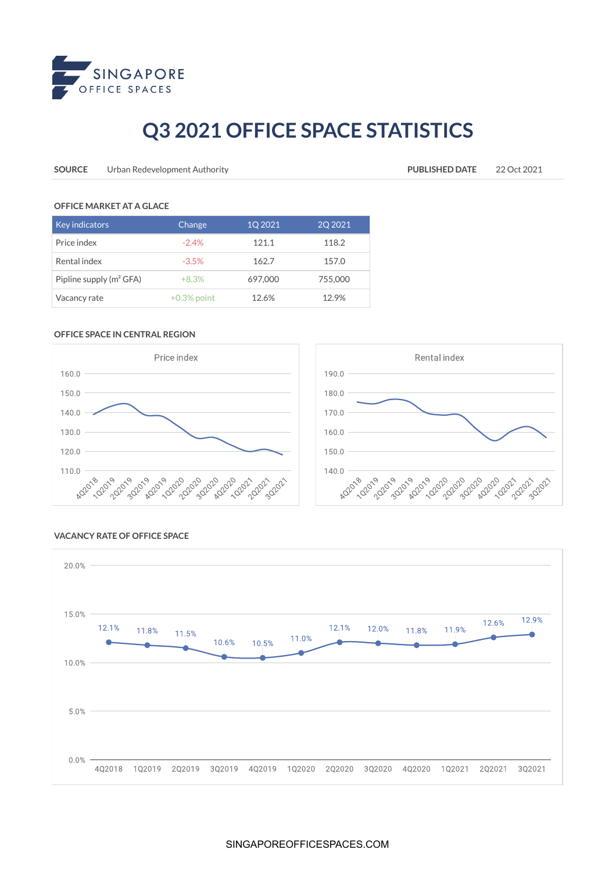

## **Q3 2021 OFFICE SPACE STATISTICS**

**SOURCE** Urban Redevelopment Authority **PUBLISHED DATE** 22 Oct 2021

#### **OFFICE MARKET AT A GLACE**

| <b>Key indicators</b>      | Change         | 1Q 2021 | 2Q 2021 |
|----------------------------|----------------|---------|---------|
| Price index                | $-2.4%$        | 121.1   | 118.2   |
| Rental index               | $-3.5%$        | 162.7   | 157.0   |
| Pipline supply $(m^2 GFA)$ | $+8.3%$        | 697,000 | 755,000 |
| Vacancy rate               | $+0.3\%$ point | 12.6%   | 12.9%   |

### **OFFICE SPACE IN CENTRAL REGION**





#### **VACANCY RATE OF OFFICE SPACE**



#### SINGAPOREOFFICESPACES.COM